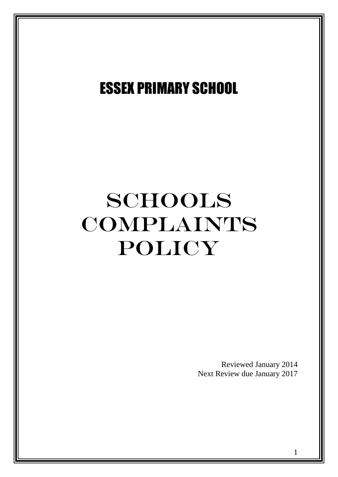## ESSEX PRIMARY SCHOOL

# SCHOOLS COMPLAINTS POLICY

Reviewed January 2014 Next Review due January 2017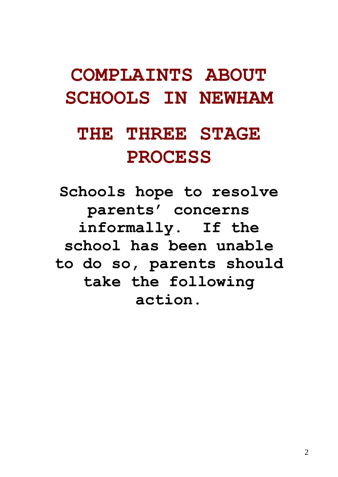## **COMPLAINTS ABOUT SCHOOLS IN NEWHAM**

## **THE THREE STAGE PROCESS**

**Schools hope to resolve parents' concerns informally. If the school has been unable to do so, parents should take the following action.**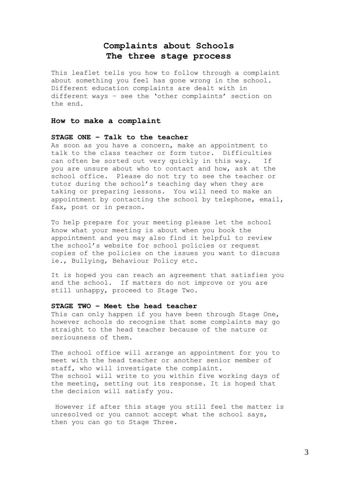## **Complaints about Schools The three stage process**

This leaflet tells you how to follow through a complaint about something you feel has gone wrong in the school. Different education complaints are dealt with in different ways – see the 'other complaints' section on the end.

#### **How to make a complaint**

#### **STAGE ONE – Talk to the teacher**

As soon as you have a concern, make an appointment to talk to the class teacher or form tutor. Difficulties can often be sorted out very quickly in this way. If you are unsure about who to contact and how, ask at the school office. Please do not try to see the teacher or tutor during the school's teaching day when they are taking or preparing lessons. You will need to make an appointment by contacting the school by telephone, email, fax, post or in person.

To help prepare for your meeting please let the school know what your meeting is about when you book the appointment and you may also find it helpful to review the school's website for school policies or request copies of the policies on the issues you want to discuss ie., Bullying, Behaviour Policy etc.

It is hoped you can reach an agreement that satisfies you and the school. If matters do not improve or you are still unhappy, proceed to Stage Two.

#### **STAGE TWO – Meet the head teacher**

This can only happen if you have been through Stage One, however schools do recognise that some complaints may go straight to the head teacher because of the nature or seriousness of them.

The school office will arrange an appointment for you to meet with the head teacher or another senior member of staff, who will investigate the complaint. The school will write to you within five working days of the meeting, setting out its response. It is hoped that the decision will satisfy you.

However if after this stage you still feel the matter is unresolved or you cannot accept what the school says, then you can go to Stage Three.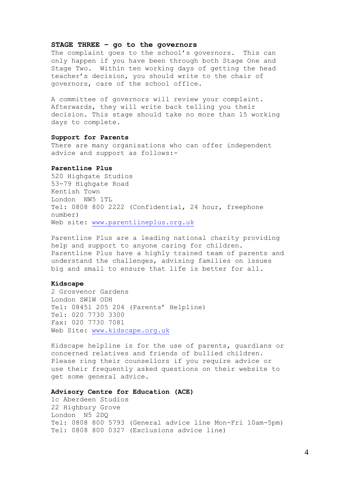#### **STAGE THREE – go to the governors**

The complaint goes to the school's governors. This can only happen if you have been through both Stage One and Stage Two. Within ten working days of getting the head teacher's decision, you should write to the chair of governors, care of the school office.

A committee of governors will review your complaint. Afterwards, they will write back telling you their decision. This stage should take no more than 15 working days to complete.

#### **Support for Parents**

There are many organisations who can offer independent advice and support as follows:-

#### **Parentline Plus**

520 Highgate Studios 53-79 Highgate Road Kentish Town London NW5 1TL Tel: 0808 800 2222 (Confidential, 24 hour, freephone number) Web site: [www.parentlineplus.org.uk](http://www.parentlineplus.org.uk/)

Parentline Plus are a leading national charity providing help and support to anyone caring for children. Parentline Plus have a highly trained team of parents and understand the challenges, advising families on issues big and small to ensure that life is better for all.

#### **Kidscape**

2 Grosvenor Gardens London SW1W ODH Tel: 08451 205 204 (Parents' Helpline) Tel: 020 7730 3300 Fax: 020 7730 7081 Web Site: [www.kidscape.org.uk](http://www.kidscape.org.uk/)

Kidscape helpline is for the use of parents, guardians or concerned relatives and friends of bullied children. Please ring their counsellors if you require advice or use their frequently asked questions on their website to get some general advice.

#### **Advisory Centre for Education (ACE)**

1c Aberdeen Studios 22 Highbury Grove London N5 2DQ Tel: 0808 800 5793 (General advice line Mon-Fri 10am-5pm) Tel: 0808 800 0327 (Exclusions advice line)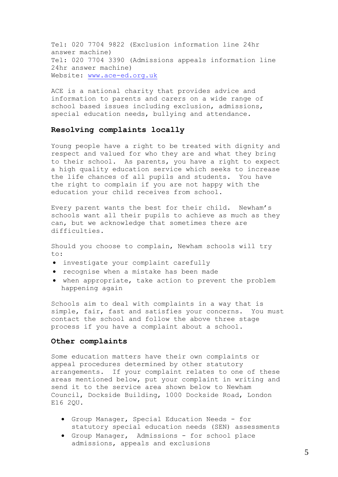Tel: 020 7704 9822 (Exclusion information line 24hr answer machine) Tel: 020 7704 3390 (Admissions appeals information line 24hr answer machine) Website: [www.ace-ed.org.uk](http://www.ace-ed.org.uk/)

ACE is a national charity that provides advice and information to parents and carers on a wide range of school based issues including exclusion, admissions, special education needs, bullying and attendance.

#### **Resolving complaints locally**

Young people have a right to be treated with dignity and respect and valued for who they are and what they bring to their school. As parents, you have a right to expect a high quality education service which seeks to increase the life chances of all pupils and students. You have the right to complain if you are not happy with the education your child receives from school.

Every parent wants the best for their child. Newham's schools want all their pupils to achieve as much as they can, but we acknowledge that sometimes there are difficulties.

Should you choose to complain, Newham schools will try to:

- investigate your complaint carefully
- recognise when a mistake has been made
- when appropriate, take action to prevent the problem happening again

Schools aim to deal with complaints in a way that is simple, fair, fast and satisfies your concerns. You must contact the school and follow the above three stage process if you have a complaint about a school.

#### **Other complaints**

Some education matters have their own complaints or appeal procedures determined by other statutory arrangements. If your complaint relates to one of these areas mentioned below, put your complaint in writing and send it to the service area shown below to Newham Council, Dockside Building, 1000 Dockside Road, London E16 2QU.

- Group Manager, Special Education Needs for statutory special education needs (SEN) assessments
- Group Manager, Admissions for school place admissions, appeals and exclusions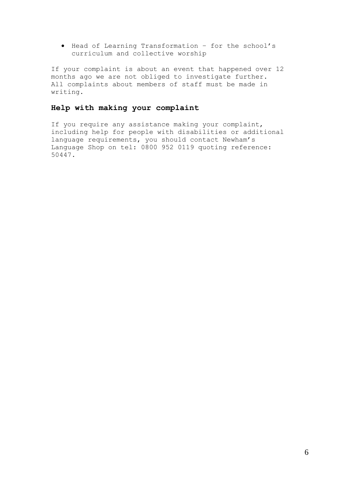Head of Learning Transformation – for the school's curriculum and collective worship

If your complaint is about an event that happened over 12 months ago we are not obliged to investigate further. All complaints about members of staff must be made in writing.

### **Help with making your complaint**

If you require any assistance making your complaint, including help for people with disabilities or additional language requirements, you should contact Newham's Language Shop on tel: 0800 952 0119 quoting reference: 50447.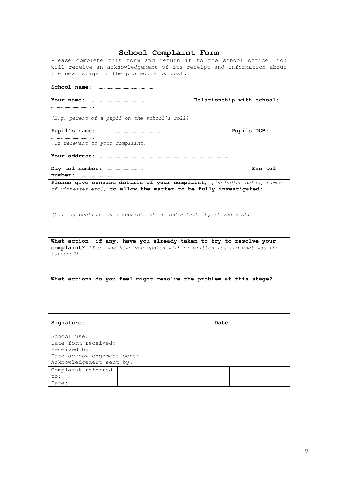### **School Complaint Form**

Please complete this form and return it to the school office. You will receive an acknowledgement of its receipt and information about the next stage in the procedure by post.

|                                                                                                                                                              | Relationship with school: |  |  |  |
|--------------------------------------------------------------------------------------------------------------------------------------------------------------|---------------------------|--|--|--|
| $[E,q.$ parent of a pupil on the school's roll]                                                                                                              |                           |  |  |  |
|                                                                                                                                                              | Pupils DOB:               |  |  |  |
| [If relevant to your complaint]                                                                                                                              |                           |  |  |  |
|                                                                                                                                                              |                           |  |  |  |
|                                                                                                                                                              |                           |  |  |  |
|                                                                                                                                                              | <b>Eve tel</b>            |  |  |  |
| Please give concise details of your complaint, <i>[including dates, names</i><br>of witnesses etc], to allow the matter to be fully investigated:            |                           |  |  |  |
| (You may continue on a separate sheet and attach it, if you wish)                                                                                            |                           |  |  |  |
| What action, if any, have you already taken to try to resolve your<br>complaint? [I.e. who have you spoken with or written to, and what was the<br>outcome?l |                           |  |  |  |
| What actions do you feel might resolve the problem at this stage?                                                                                            |                           |  |  |  |

#### **Signature: Date:**

| School use:                |  |  |  |  |
|----------------------------|--|--|--|--|
| Date form received:        |  |  |  |  |
| Received by:               |  |  |  |  |
| Date acknowledgement sent: |  |  |  |  |
| Acknowledgement sent by:   |  |  |  |  |
| Complaint referred         |  |  |  |  |
| to:                        |  |  |  |  |
| Date:                      |  |  |  |  |